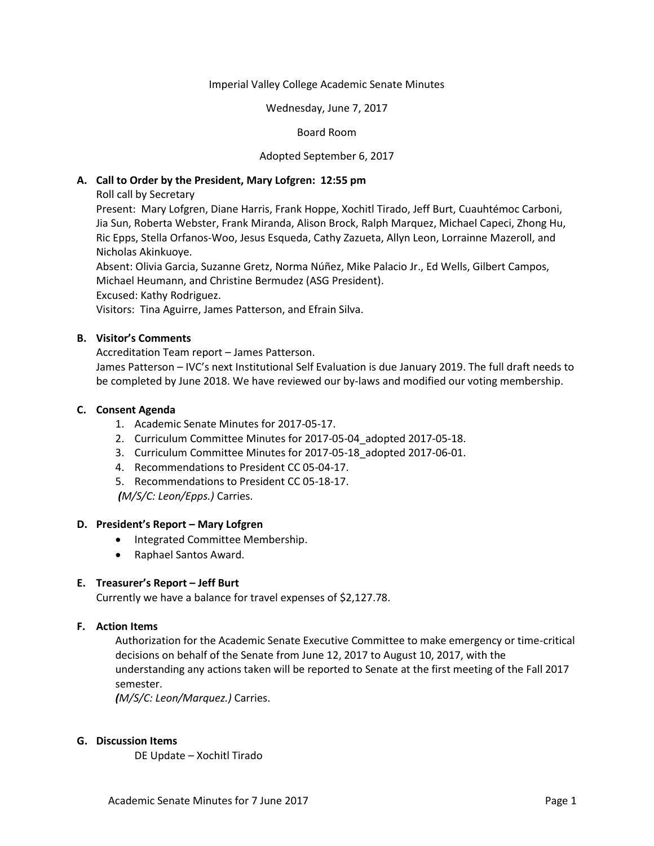#### Imperial Valley College Academic Senate Minutes

#### Wednesday, June 7, 2017

# Board Room

### Adopted September 6, 2017

### **A. Call to Order by the President, Mary Lofgren: 12:55 pm**

Roll call by Secretary

Present: Mary Lofgren, Diane Harris, Frank Hoppe, Xochitl Tirado, Jeff Burt, Cuauhtémoc Carboni, Jia Sun, Roberta Webster, Frank Miranda, Alison Brock, Ralph Marquez, Michael Capeci, Zhong Hu, Ric Epps, Stella Orfanos-Woo, Jesus Esqueda, Cathy Zazueta, Allyn Leon, Lorrainne Mazeroll, and Nicholas Akinkuoye.

Absent: Olivia Garcia, Suzanne Gretz, Norma Núñez, Mike Palacio Jr., Ed Wells, Gilbert Campos, Michael Heumann, and Christine Bermudez (ASG President).

Excused: Kathy Rodriguez.

Visitors: Tina Aguirre, James Patterson, and Efrain Silva.

### **B. Visitor's Comments**

Accreditation Team report – James Patterson.

James Patterson – IVC's next Institutional Self Evaluation is due January 2019. The full draft needs to be completed by June 2018. We have reviewed our by-laws and modified our voting membership.

# **C. Consent Agenda**

- 1. Academic Senate Minutes for 2017-05-17.
- 2. Curriculum Committee Minutes for 2017-05-04\_adopted 2017-05-18.
- 3. Curriculum Committee Minutes for 2017-05-18\_adopted 2017-06-01.
- 4. Recommendations to President CC 05-04-17.
- 5. Recommendations to President CC 05-18-17.

*(M/S/C: Leon/Epps.)* Carries.

#### **D. President's Report – Mary Lofgren**

- Integrated Committee Membership.
- Raphael Santos Award.

# **E. Treasurer's Report – Jeff Burt**

Currently we have a balance for travel expenses of \$2,127.78.

# **F. Action Items**

Authorization for the Academic Senate Executive Committee to make emergency or time-critical decisions on behalf of the Senate from June 12, 2017 to August 10, 2017, with the understanding any actions taken will be reported to Senate at the first meeting of the Fall 2017 semester.

*(M/S/C: Leon/Marquez.)* Carries.

#### **G. Discussion Items**

DE Update – Xochitl Tirado